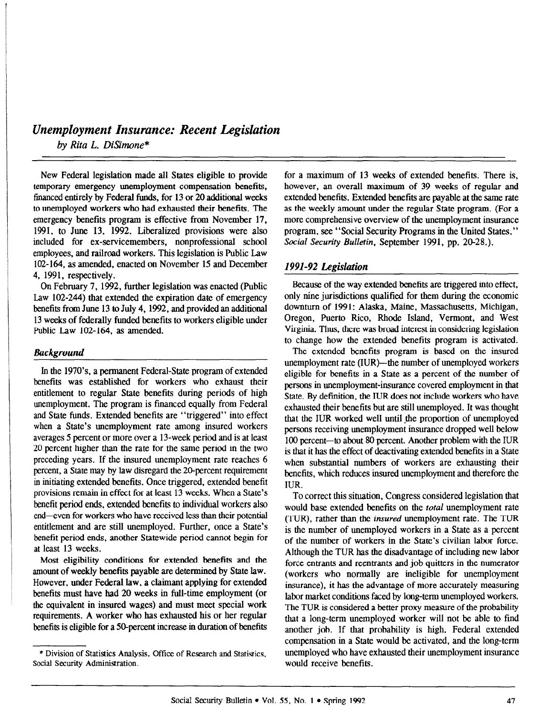# Unemployment Insurance: Recent Legislation

by Rita L. DiSimone\*

New Federal legislation made all States eligible to provide temporary emergency unemployment compensation benefits, financed entirely by Federal funds, for 13 or 20 additional weeks to unemployed workers who had exhausted their benefits. The emergency benefits program is effective from November 17, 1991, to June 13, 1992. Liberalized provisions were also included for ex-servicemembers, nonprofessional school employees, and railroad workers. This legislation is Public Law 102-164, as amended, enacted on November 15 and December 4, 1991, respectively.

On February 7, 1992, further legislation was enacted (Public Law 102-244) that extended the expiration date of emergency benefits from June 13 to July 4,1992, and provided an additional 13 weeks of federally funded benefits to workers eligible under Public Law 102-164. as amended.

## Background

In the 1970's. a permanent Federal-State program of extended benefits was established for workers who exhaust their entitlement to regular State benefits during periods of high unemployment. The program is financed equally from Federal and State funds. Extended benefits are "triggered" into effect when a State's unemployment rate among insured workers averages 5 percent or more over a 13-week period and is at least 20 percent higher than the rate for the same period in the two preceding years. If the insured unemployment rate reaches 6 percent, a State may by law disregard the 20-percent requirement in initiating extended benefits. Once triggered, extended benefit provisions remain in effect for at least 13 weeks. When a State's benefit period ends, extended benefits to individual workers also end-even for workers who have received less than their potential entitlement and are still unemployed. Further, once a State's benefit period ends, another Statewide period cannot begin for at least 13 weeks.

Most eligibility conditions for extended benefits and the amount of weekly benefits payable are determined by State law. However, under Federal law, a claimant applying for extended benefits must have had 20 weeks in full-time employment (or the equivalent in insured wages) and must meet special work requirements. A worker who has exhausted his or her regular benefits is eligible for a 50-percent increase in duration of benefits for a maximum of 13 weeks of extended benefits. There is, however, an overall maximum of 39 weeks of regular and extended benefits. Extended benefits are payable at the same rate as the weekly amount under the regular State program. (For a more comprehensive overview of the unemployment insurance program, see "Social Security Programs in the United States," Social Security Bulletin, September 1991, pp. 20-28.).

## 1991-92 Legislation

Because of the way extended benefits are triggered into effect, only nine jurisdictions qualified for them during the economic downturn of 1991: Alaska, Maine, Massachusetts, Michigan, Oregon, Puerto Rico, Rhode Island, Vermont, and West Virginia. Thus, there was broad interest in considering legislation to change how the extended benefits program is activated.

The extended benefits program is based on the insured unemployment rate (IUR)—the number of unemployed workers eligible for benefits in a State as a percent of the number of persons in unemployment-insurance covered employment in that State. By definition, the IUR does not include workers who have exhausted their benefits but are still unemployed. It was thought that the IUR worked well until the proportion of unemployed persons receiving unemployment insurance dropped well below 100 percent-to about 80 percent. Another problem with the IUR is that it has the effect of deactivating extended benefits in a State when substantial numbers of workers are exhausting their benefits, which reduces insured unemployment and therefore the IUR.

To correct this situation, Congress considered legislation that would base extended benefits on the total unemployment rate (TUR), rather than the insured unemployment rate. The TUR is the number of unemployed workers in a State as a percent of the number of workers in the State's civilian labor force. Although the TUR has the disadvantage of including new labor force entrants and reentrants and job quitters in the numerator (workers who normally are ineligible for unemployment insurance), it has the advantage of more accurately measuring labor market conditions faced by long-term unemployed workers. The TUR is considered a better proxy measure of the probability that a long-term unemployed worker will not be able to find another job. If that probability is high, Federal extended anomer job. It mat probability is high, reueral extended compensation in a state would be activated, and the long-term unemployed who have exhausted their unemployment insurance<br>would receive benefits.

<sup>\*</sup> Division of Statistics Analysis, Office of Research and Statistics, \* Division of Statistics Analy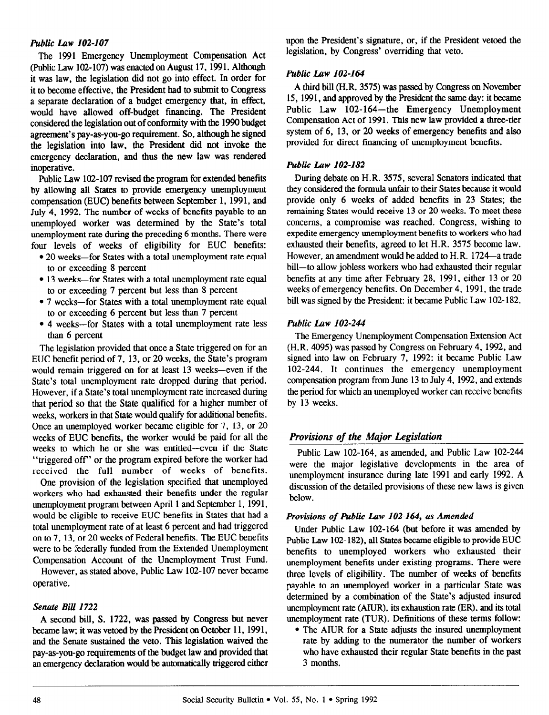### Public Law 102-107

The 1991 Emergency Unemployment Compensation Act (Public Law 102-107) was enacted on August 17.1991. Although it was law, the legislation did not go into effect. In order for it to become effective, the President had to submit to Congress a separate declaration of a budget emergency that, in effect, would have allowed off-budget financing. The President considered the legislation out of conformity with the 1990 budget agreement's pay-as-you-go requirement. So, although he signed the legislation into law, the President did not invoke the emergency declaration, and thus the new law was rendered inoperative.

Public Law 102-107 revised the program for extended benefits by allowing all States to provide emergency unemployment compensation (EUC) benefits between September 1, 1991, and July 4, 1992. The number of weeks of benefits payable to an unemployed worker was determined by the State's total unemployment rate during the preceding 6 months. There were four levels of weeks of eligibility for EUC benefits:

- 20 weeks-for States with a total unemployment rate equal to or exceeding 8 percent
- 13 weeks-for States with a total unemployment rate equal to or exceeding 7 percent but less than 8 percent
- 7 weeks-for States with a total unemployment rate equal to or exceeding 6 percent but less than 7 percent
- 4 weeks-for States with a total unemployment rate less than 6 percent

The legislation provided that once a State triggered on for an EUC benefit period of 7, 13, or 20 weeks, the State's program would remain triggered on for at least 13 weeks-even if the State's total unemployment rate dropped during that period. However, if a State's total unemployment rate increased during that period so that the State qualified for a higher number of weeks, workers in that State would qualify for additional benefits. Once an unemployed worker became eligible for 7, 13, or 20 weeks of EUC benefits, the worker would be paid for all the weeks to which he or she was entitled--even if the State "triggered off' or the program expired before the worker had received the full number of weeks of benefits.

One provision of the legislation specified that unemployed workers who had exhausted their benefits under the regular unemployment program between April 1 and September 1, 1991, would be eligible to receive EUC benefits in States that had a total unemployment rate of at least 6 percent and had triggered on to 7, 13, or 20 weeks of Federal benefits. The EUC benefits were to be federally funded from the Extended Unemployment Compensation Account of the Unemployment Trust Fund.

However, as stated above, Public Law 102-107 never became operative.

## Senute Bill 1722

 $\frac{1}{2}$  second by Congress but never become passed by Congress but never become passed by Congress but never  $\mu$  become on, s.  $1/22$ , was passed by congress our never became law; it was vetoed by the President on October 11, 1991, and the Senate sustained the veto. This legislation waived the pay-as-you-go requirements of the budget law and provided that<br>an emergency declaration would be automatically triggered either upon the President's signature, or, if the President vetoed the legislation, by Congress' overriding that veto.

## Public Law  $102-164$

A third bill (H.R. 3575) was passed by Congress on November 15, 1991, and approved by the President the same day: it became Public Law 102-164—the Emergency Unemployment Compensation Act of 1991. This new law provided a three-tier system of 6, 13, or 20 weeks of emergency benefits and also provided for direct financing of unemployment benefits.

## Public Law 102-182

During debate on H.R. 3575, several Senators indicated that they considered the formula unfair to their States because it would provide only 6 weeks of added benefits in 23 States; the remaining States would receive 13 or 20 weeks. To meet these concerns, a compromise was reached. Congress, wishing to expedite emergency unemployment benefits to workers who had exhausted their benefits, agreed to let H.R. 3575 become law. However, an amendment would be added to H.R. 1724-a trade bill-to allow jobless workers who had exhausted their regular benefits at any time after February 28, 1991, either 13 or 20 weeks of emergency benefits. On December 4, 1991, the trade bill was signed by the President: it became Public Law 102-182.

## Public Law 102-244

The Emergency Unemployment Compensation Extension Act (H.R. 4095) was passed by Congress on February 4, 1992, and signed into law on February 7, 1992: it became Public Law 102-244. It continues the emergency unemployment compensation program from June 13 to July 4, 1992, and extends the period for which an unemployed worker can receive benefits by 13 weeks.

# Provisions of the Major Legislation

Public Law 102-164, as amended, and Public Law 102-244 were the major legislative developments in the area of unemployment insurance during late 1991 and early 1992. A discussion of the detailed provisions of these new laws is given below.

#### Provisions of Public Law 102-164, as Amended

Under Public Law 102-164 (but before it was amended by Public Law 102-182), all States became eligible to provide EUC benefits to unemployed workers who exhausted their unemployment benefits under existing programs. There were three levels of eligibility. The number of weeks of benefits payable to an unemployed worker in a particular State was determined by a combination of the State's adjusted insured unemployment rate (AIUR). its exhaustion rate (ER). and its total unemployment rate (TUR). Definitions of these terms follow:

• The AIUR for a State adjusts the insured unemployment rate by adding to the numerator the number of workers raw by avang to the numerator the numerical workers wiku have<br>2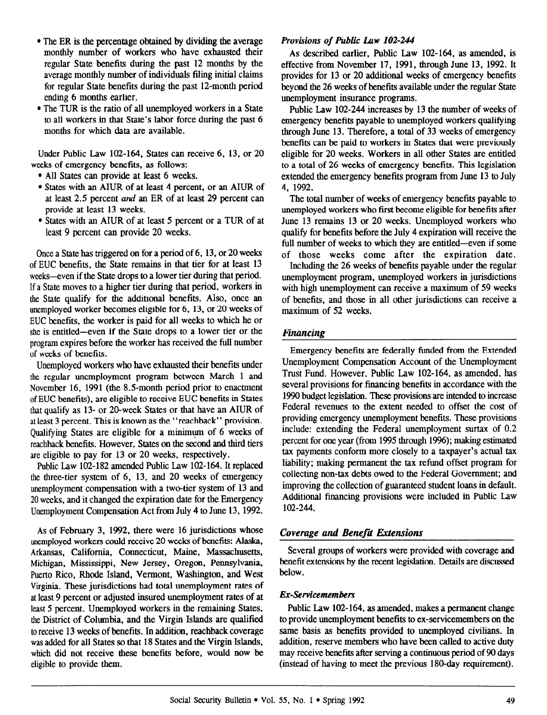- $\bullet$  The ER is the percentage obtained by dividing the average monthly number of workers who have exhausted their regular State benefits during the past 12 months by the average monthly number of individuals filing initial claims for regular State benefits during the past 12-month period ending 6 months earlier.
- $\bullet$  The TUR is the ratio of all unemployed workers in a State to all workers in that State's labor force during the past 6 months for which data are available.

Under Public Law 102-164, States can receive 6, 13, or 20 weeks of emergency benefits, as follows:

- All States can provide at least 6 weeks.
- States with an AIUR of at least 4 percent, or an AIUR of at least 2.5 percent and an ER of at least 29 percent can provide at least 13 weeks.
- States with an AIUR of at least 5 percent or a TUR of at least 9 percent can provide 20 weeks.

Once a State has triggered on for a period of 6, 13, or 20 weeks of EUC benefits, the State remains in that tier for at least 13 weeks-even if the State drops to a lower tier during that period. If a State moves to a higher tier during that period, workers in the State qualify for the additional benefits. Also, once an unemployed worker becomes eligible for 6, 13, or 20 weeks of EUC benefits, the worker is paid for all weeks to which he or she is entitled-even if the State drops to a lower tier or the program expires before the worker has received the full number of weeks of benefits.

Unemployed workers who have exhausted their benefits under the regular unemployment program between March 1 and November 16, 1991 (the 8.5-month period prior to enactment of EUC benefits), are eligible to receive EUC benefits in States that qualify as 13- or 20-week States or that have an AIUR of at least 3 percent. This is known as the "reachback" provision. Qualifying States are eligible for a minimum of 6 weeks of reachback benefits. However, States on the second and third tiers are eligible to pay for 13 or 20 weeks, respectively.

Public Law 102-182 amended Public Law 102-164. It replaced the three-tier system of 6, 13, and 20 weeks of emergency unemployment compensation with a two-tier system of 13 and 20 weeks, and it changed the expiration date for the Emergency Unemployment Compensation Act from July 4 to June 13.1992.

As of February 3. 1992, there were 16 jurisdictions whose unemployed workers could receive 20 weeks of benefits: Alaska, Arkansas, California, Connecticut, Maine, Massachusetts, Michigan, Mississippi, New Jersey, Oregon, Pennsylvania, Puerto Rico, Rhode Island, Vermont, Washington, and West Virginia. These jurisdictions had total unemployment rates of at least 9 percent or adjusted insured unemployment rates of at least 5 percent. Unemployed workers in the remaining States, the District of Columbia, and the Virgin Islands are qualified the District of Columbia, and the virgin islands are quantical  $\omega$  receive 15 weeks of beliefits. In addition, reactional coverage was added for all States so that 18 States and the Virgin Islands, which did not receive these benefits before, would now be eligible to provide them.

## Provisions of Public Law 102-244

As described earlier, Public Law 102-164, as amended, is effective from November 17, 1991, through June 13. 1992. It provides for 13 or 20 additional weeks of emergency benefits beyond the 26 weeks of benefits available under the regular State unemployment insurance programs.

Public Law 102-244 increases by 13 the number of weeks of emergency benefits payable to unemployed workers qualifying through June 13. Therefore, a total of 33 weeks of emergency benefits can be paid to workers in States that were previously eligible for 20 weeks. Workers in all other States are entitled to a total of 26 weeks of emergency benefits. This legislation extended the emergency benefits program from June 13 to July 4. 1992.

The total number of weeks of emergency benefits payable to unemployed workers who first become eligible for benefits after June 13 remains 13 or 20 weeks. Unemployed workers who qualify for benefits before the July 4 expiration will receive the full number of weeks to which they are entitled-even if some of those weeks come after the expiration date.

Including the 26 weeks of benefits payable under the regular unemployment program, unemployed workers in jurisdictions with high unemployment can receive a maximum of 59 weeks of benefits, and those in all other jurisdictions can receive a maximum of 52 weeks.

## financing

Emergency benefits are federally funded from the Extended Unemployment Compensation Account of the Unemployment Trust Fund. However, Public Law 102-164, as amended, has several provisions for financing benefits in accordance with the 1990 budget legislation. These provisions are intended to increase Federal revenues to the extent needed to offset the cost of providing emergency unemployment benefits. These provisions include: extending the Federal unemployment surtax of 0.2 percent for one year (from 1995 through 1996); making estimated tax payments conform more closely to a taxpayer's actual tax liability; making permanent the tax refund offset program for collecting non-tax debts owed to the Federal Government; and improving the collection of guaranteed student loans in default. Additional financing provisions were included in Public Law 102-244.

## Coverage and Benefii Extensions

Several groups of workers were provided with coverage and benefit extensions by the recent legislation. Details are discussed below.

#### Ex-Servicemembers

Public Law 102-164, as amended, makes a permanent change to provide unemployment benefits to ex-servicemembers on the same basis as benefits provided to unemployed civilians. In same basis as benefits provided to ditemployed civinalis. In  $\frac{1}{2}$  addition, reserve incliners who have been called to active duty may receive benefits after serving a continuous period of 90 days (instead of having to meet the previous 180-day requirement).